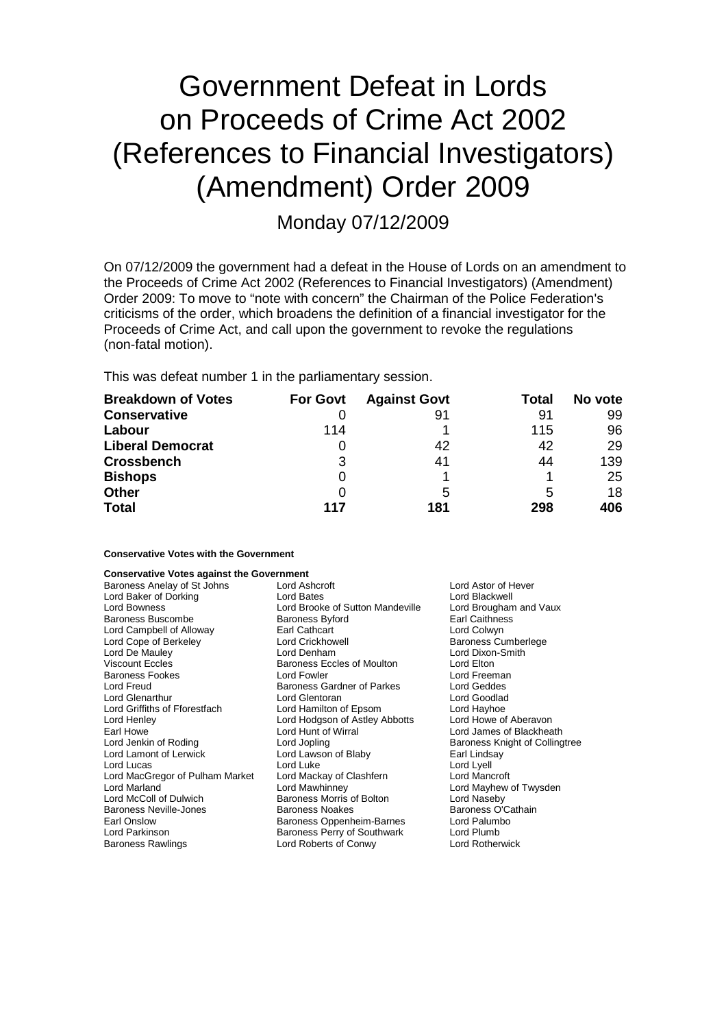# Government Defeat in Lords on Proceeds of Crime Act 2002 (References to Financial Investigators) (Amendment) Order 2009

Monday 07/12/2009

On 07/12/2009 the government had a defeat in the House of Lords on an amendment to the Proceeds of Crime Act 2002 (References to Financial Investigators) (Amendment) Order 2009: To move to "note with concern" the Chairman of the Police Federation's criticisms of the order, which broadens the definition of a financial investigator for the Proceeds of Crime Act, and call upon the government to revoke the regulations (non-fatal motion).

This was defeat number 1 in the parliamentary session.

| <b>Breakdown of Votes</b> | <b>For Govt</b> | <b>Against Govt</b> | Total | No vote |
|---------------------------|-----------------|---------------------|-------|---------|
| <b>Conservative</b>       |                 | 91                  | 91    | 99      |
| Labour                    | 114             |                     | 115   | 96      |
| <b>Liberal Democrat</b>   |                 | 42                  | 42    | 29      |
| <b>Crossbench</b>         | 3               | 41                  | 44    | 139     |
| <b>Bishops</b>            | 0               |                     |       | 25      |
| <b>Other</b>              |                 | 5                   | 5     | 18      |
| <b>Total</b>              | 117             | 181                 | 298   | 406     |

### **Conservative Votes with the Government**

| <b>Conservative Votes against the Government</b> |  |  |  |  |  |
|--------------------------------------------------|--|--|--|--|--|
|--------------------------------------------------|--|--|--|--|--|

| Baroness Anelay of St Johns<br>Lord Baker of Dorking<br>Lord Bowness<br>Baroness Buscombe<br>Lord Campbell of Alloway<br>Lord Cope of Berkeley<br>Lord De Mauley<br><b>Viscount Eccles</b><br><b>Baroness Fookes</b><br>Lord Freud<br><b>Lord Glenarthur</b><br>Lord Griffiths of Fforestfach<br>Lord Henley<br>Earl Howe<br>Lord Jenkin of Roding<br>Lord Lamont of Lerwick<br>Lord Lucas<br>Lord MacGregor of Pulham Market<br>Lord Marland<br>Lord McColl of Dulwich<br><b>Baroness Neville-Jones</b><br>Earl Onslow | Lord Ashcroft<br>Lord Bates<br>Lord Brooke of Sutton Mandeville<br><b>Baroness Byford</b><br>Earl Cathcart<br><b>Lord Crickhowell</b><br>Lord Denham<br>Baroness Eccles of Moulton<br>Lord Fowler<br>Baroness Gardner of Parkes<br>Lord Glentoran<br>Lord Hamilton of Epsom<br>Lord Hodgson of Astley Abbotts<br>Lord Hunt of Wirral<br>Lord Jopling<br>Lord Lawson of Blaby<br>Lord Luke<br>Lord Mackay of Clashfern<br>Lord Mawhinney<br>Baroness Morris of Bolton<br><b>Baroness Noakes</b><br>Baroness Oppenheim-Barnes | Lord Astor of Hever<br>Lord Blackwell<br>Lord Brougham and Vaux<br>Earl Caithness<br>Lord Colwyn<br><b>Baroness Cumberlege</b><br>Lord Dixon-Smith<br>Lord Elton<br>Lord Freeman<br>Lord Geddes<br>Lord Goodlad<br>Lord Hayhoe<br>Lord Howe of Aberavon<br>Lord James of Blackheath<br>Baroness Knight of Collingtree<br>Earl Lindsay<br>Lord Lyell<br>Lord Mancroft<br>Lord Mayhew of Twysden<br>Lord Naseby<br>Baroness O'Cathain<br>Lord Palumbo |
|-------------------------------------------------------------------------------------------------------------------------------------------------------------------------------------------------------------------------------------------------------------------------------------------------------------------------------------------------------------------------------------------------------------------------------------------------------------------------------------------------------------------------|-----------------------------------------------------------------------------------------------------------------------------------------------------------------------------------------------------------------------------------------------------------------------------------------------------------------------------------------------------------------------------------------------------------------------------------------------------------------------------------------------------------------------------|-----------------------------------------------------------------------------------------------------------------------------------------------------------------------------------------------------------------------------------------------------------------------------------------------------------------------------------------------------------------------------------------------------------------------------------------------------|
| Lord Parkinson                                                                                                                                                                                                                                                                                                                                                                                                                                                                                                          | Baroness Perry of Southwark                                                                                                                                                                                                                                                                                                                                                                                                                                                                                                 | Lord Plumb                                                                                                                                                                                                                                                                                                                                                                                                                                          |
| <b>Baroness Rawlings</b>                                                                                                                                                                                                                                                                                                                                                                                                                                                                                                | Lord Roberts of Conwy                                                                                                                                                                                                                                                                                                                                                                                                                                                                                                       | <b>Lord Rotherwick</b>                                                                                                                                                                                                                                                                                                                                                                                                                              |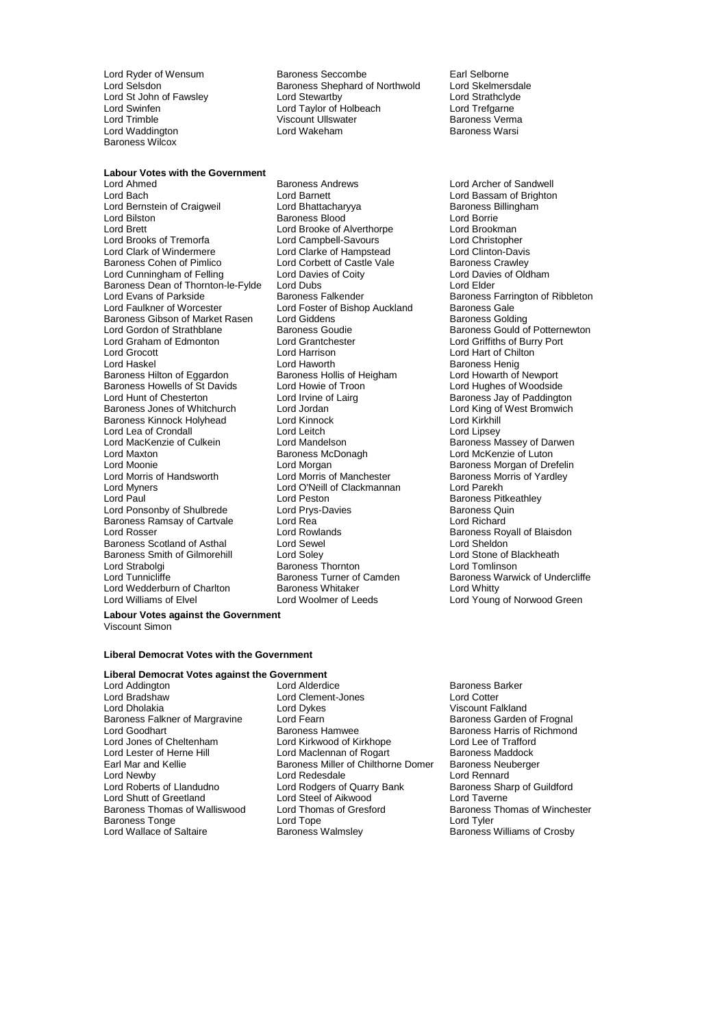Lord Waddington Baroness Wilcox

#### **Labour Votes with the Government**

Lord Bernstein of Craigweil Lord Bilston Baroness Blood Lord Borrie Lord Brett Lord Brooke of Alverthorpe Cord Brookman<br>
Lord Brooks of Tremorfa Cord Campbell-Savours
Lord Brooks of Tremorfa Lord Brooks of Tremorfa Lord Campbell-Savours Lord Christopher Lord Clark of Windermere Lord Clarke of Hampstead Lord Clinton-Davis<br>
Baroness Cohen of Pimlico Lord Corbett of Castle Vale Baroness Crawley Lord Cunningham of Felling Lord Davies of Coity<br>
Baroness Dean of Thornton-le-Fylde Lord Dubs Lord Clubre Lord Elder Baroness Dean of Thornton-le-Fylde Lord Dubs<br>
Lord Evans of Parkside Baroness Falkender Lord Faulkner of Worcester **Lord Foster of Bishop Auckland** Baroness Gale The Baroness Gale The Baroness Golding<br>Baroness Gibson of Market Rasen Lord Giddens Baroness Gibson of Market Rasen Lord Giddens<br>Lord Gordon of Strathblane Baroness Goudie Lord Graham of Edmonton Lord Grantchester Lord Griffiths of Burry Port Lord Grocott Lord Harrison Lord Hart of Chilton Baroness Hilton of Eggardon Baroness Howells of St Davids Lord Howie of Troon Lord Hughes of Woodside<br>Lord Hunt of Chesterton Lord Irvine of Lairg Corporation Baroness Jay of Paddingto Lord Hunt of Chesterton Lord Irvine of Lairg Baroness Jay of Paddington<br>Baroness Jones of Whitchurch Lord Jordan Lord The Lord King of West Bromwich Baroness Kinnock Holyhead Lord Kinnock Lord Kirkhill Lord Lea of Crondall **Lord Leitch Lord Leitch Lord Lord Lipsey**<br>
Lord MacKenzie of Culkein **Lord Mandelson** Cord Mandelson Baroness M Lord MacKenzie of Culkein **Lord Mandelson** Baroness Massey of Darwen<br>
Lord Maxton Baroness McDonagh Baroness McDonagh Lord McKenzie of Luton Lord Moonie **Lord Morgan**<br>
Lord Morris of Handsworth **Baroness Mortis Corporation**<br>
Lord Morris of Nanchester **Baroness Morris of Yardley** Lord Morris of Handsworth Lord Morris of Manchester Baroness Morris of Yardley Lord Myners Lord O'Neill of Clackmannan<br>
Lord Paul<br>
Lord Peston Lord Ponsonby of Shulbrede Lord Prys-Davies<br>
Lord Ranchess Ramsay of Cartvale Lord Rea Lord Rea Lord Richard Baroness Ramsay of Cartvale Lord Rea<br>Lord Rosser Lord Rowlands Baroness Scotland of Asthal Lord Sewel Lord Sheldon Baroness Smith of Gilmorehill Lord Soley<br>
Lord Strabolgi Cord Stone of Baroness Thornton<br>
Lord Tomlinson Lord Tunnicliffe **Baroness Turner of Camden** Baroness Warwick of Undercliffe Lord Wedderburn of Charlton Baroness Whitaker **Baroness Whitaker Charlton Conducts** Lord Whitty<br>
Lord Williams of Elvel **Conducts** Lord Woolmer of Leeds Lord Young

Lord Ryder of Wensum **Baroness Seccombe** Earl Selborne<br>
Lord Selsdon **Baroness Shephard of Northwold** Lord Skelmersdale Lord Selsdon **Baroness Shephard of Northwold** Lord Skelmersdale<br>
Lord Strathclord Strathclord Lord Strathclord Cord Strathclord Lord Strathclord Lord Strathclord Lord Strathclord Lord St John of Fawsley Lord Stewartby Lord Strathclyde Lord Swinfen Lord Taylor of Holbeach Lord Trefgarne Lord Trimble **Viscount Ullswater Accomment Construct** Baroness Verma<br>
Lord Waddington **Makeham** Lord Wakeham Baroness Warsi

Lord Ahmed **Baroness Andrews** Baroness Andrews Lord Archer of Sandwell<br>
Lord Bach **Baroness Andrews** Lord Baroness Andrews Lord Bassam of Brightor Lord Barnett<br>
Lord Bhattacharyya Baroness Billingham Lord Corbett of Castle Vale Baroness Crawley<br>
Lord Davies of Coity<br>
Lord Davies of Oldham Lord Haworth **Baroness Henig**<br>
Baroness Hollis of Heigham **Baroness Hollis And Howarth of Newport** Baroness Thornton<br>Baroness Turner of Camden

Baroness Farrington of Ribbleton Baroness Goudie **Baroness Gould of Potternewton Lord Grantchester Baroness Gould of Potternewton** Lord King of West Bromwich Lord McKenzie of Luton Baroness Pitkeathley **Example:**<br>Baroness Royall of Blaisdon<br>Lord Sheldon Lord Young of Norwood Green

### **Labour Votes against the Government**

Viscount Simon

### **Liberal Democrat Votes with the Government**

### **Liberal Democrat Votes against the Government**

Baroness Falkner of Margravine Lord Fearn<br>Lord Goodhart Baroness Hamwee Baroness Thomas of Walliswood Lord Thom<br>Baroness Tonge baroness Lord Tope

Lord Bradshaw Lord Clement-Jones Lord Cotter Lord Dholakia Lord Dykes Corporation Corporation Corporation Corporation Corporation Corporation Corporation Baroness Garden of Frognal Corporation Corporation Corporation Corporation Corporation Corporation Corporation Co Lord Goodhart **Baroness Hamwee** Baroness Hammee Baroness Harris of Richmond<br>
Lord Jones of Cheltenham **Baroness Hamwee** Lord Kirkhope Lord Lee of Trafford Lord Jones of Cheltenham Lord Kirkwood of Kirkhope Lord Lee of Trafford<br>
Lord Lester of Herne Hill Lord Maclennan of Rogart Baroness Maddock Lord Lester of Herne Hill Lord Maclennan of Rogart Baroness Maddock<br>
Earl Mar and Kellie **Baroness Miller of Chilthorne Domer** Baroness Neuberger Earl Mar and Kellie **Baroness Miller of Chilthorne Domer** Baroness Neu<br>Lord Newby **Baroness Neu** Lord Redesdale **Baroness Neu** Lord Newby **Lord Redesdale** Lord Rennard<br>
Lord Roberts of Llandudno **Lord Rodders of Quarry Bank** Baroness Sharp of Guildford Lord Rodgers of Quarry Bank Baroness Sharp Bank Baroness Sharp Ord Tayerne Lord Shutt of Greetland Lord Steel of Aikwood<br>
Baroness Thomas of Walliswood Lord Thomas of Gresford Baroness Thomas of Winchester Baroness Tonge Lord Tope Lord Tope Lord Tyler<br>
Lord Wallace of Saltaire Baroness Walmsley Baroness National Baroness National Baroness National Baroness National Baroness National Baroness National Baroness National Barone

Baroness Barker Baroness Williams of Crosby